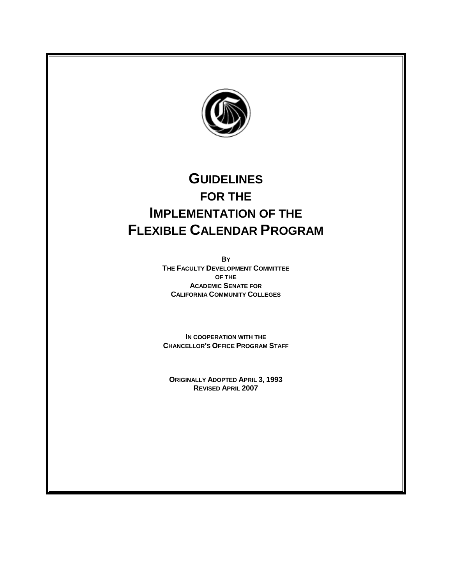

# **GUIDELINES FOR THE IMPLEMENTATION OF THE FLEXIBLE CALENDAR PROGRAM**

**BY THE FACULTY DEVELOPMENT COMMITTEE OF THE ACADEMIC SENATE FOR CALIFORNIA COMMUNITY COLLEGES**

**IN COOPERATION WITH THE CHANCELLOR'S OFFICE PROGRAM STAFF**

**ORIGINALLY ADOPTED APRIL 3, 1993 REVISED APRIL 2007**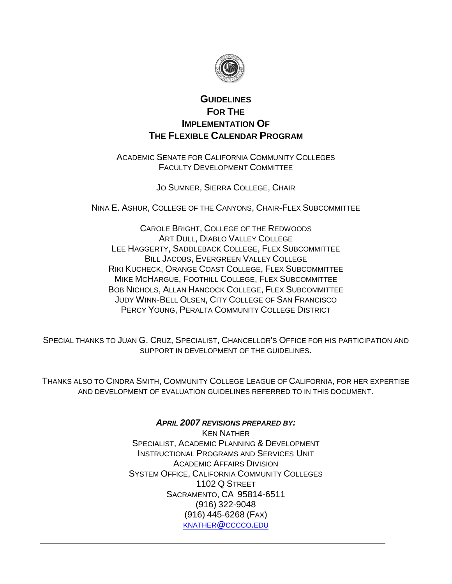

## **GUIDELINES FOR THE IMPLEMENTATION OF THE FLEXIBLE CALENDAR PROGRAM**

ACADEMIC SENATE FOR CALIFORNIA COMMUNITY COLLEGES FACULTY DEVELOPMENT COMMITTEE

JO SUMNER, SIERRA COLLEGE, CHAIR

NINA E. ASHUR, COLLEGE OF THE CANYONS, CHAIR-FLEX SUBCOMMITTEE

CAROLE BRIGHT, COLLEGE OF THE REDWOODS ART DULL, DIABLO VALLEY COLLEGE LEE HAGGERTY, SADDLEBACK COLLEGE, FLEX SUBCOMMITTEE BILL JACOBS, EVERGREEN VALLEY COLLEGE RIKI KUCHECK, ORANGE COAST COLLEGE, FLEX SUBCOMMITTEE MIKE MCHARGUE, FOOTHILL COLLEGE, FLEX SUBCOMMITTEE BOB NICHOLS, ALLAN HANCOCK COLLEGE, FLEX SUBCOMMITTEE JUDY WINN-BELL OLSEN, CITY COLLEGE OF SAN FRANCISCO PERCY YOUNG, PERALTA COMMUNITY COLLEGE DISTRICT

SPECIAL THANKS TO JUAN G. CRUZ, SPECIALIST, CHANCELLOR'S OFFICE FOR HIS PARTICIPATION AND SUPPORT IN DEVELOPMENT OF THE GUIDELINES.

THANKS ALSO TO CINDRA SMITH, COMMUNITY COLLEGE LEAGUE OF CALIFORNIA, FOR HER EXPERTISE AND DEVELOPMENT OF EVALUATION GUIDELINES REFERRED TO IN THIS DOCUMENT.

> *APRIL 2007 REVISIONS PREPARED BY:* KEN NATHER SPECIALIST, ACADEMIC PLANNING & DEVELOPMENT INSTRUCTIONAL PROGRAMS AND SERVICES UNIT ACADEMIC AFFAIRS DIVISION SYSTEM OFFICE, CALIFORNIA COMMUNITY COLLEGES 1102 Q STREET SACRAMENTO, CA 95814-6511 (916) 322-9048 (916) 445-6268 (FAX) [KNATHER](mailto:____________@cccco.edu)@CCCCO.EDU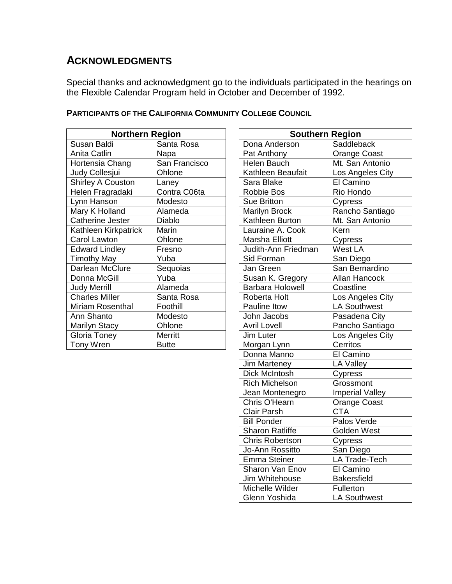## **ACKNOWLEDGMENTS**

Special thanks and acknowledgment go to the individuals participated in the hearings on the Flexible Calendar Program held in October and December of 1992.

| <b>Northern Region</b> |               | <b>Southern Region</b>  |                     |
|------------------------|---------------|-------------------------|---------------------|
| Susan Baldi            | Santa Rosa    | Dona Anderson           | Saddleback          |
| Anita Catlin           | Napa          | Pat Anthony             | Orange Coast        |
| Hortensia Chang        | San Francisco | Helen Bauch             | Mt. San Antonio     |
| Judy Collesjui         | Ohlone        | Kathleen Beaufait       | Los Angeles City    |
| Shirley A Couston      | Laney         | Sara Blake              | El Camino           |
| Helen Fragradaki       | Contra C06ta  | <b>Robbie Bos</b>       | Rio Hondo           |
| Lynn Hanson            | Modesto       | Sue Britton             | Cypress             |
| Mary K Holland         | Alameda       | <b>Marilyn Brock</b>    | Rancho Santiago     |
| Catherine Jester       | Diablo        | Kathleen Burton         | Mt. San Antonio     |
| Kathleen Kirkpatrick   | Marin         | Lauraine A. Cook        | Kern                |
| Carol Lawton           | Ohlone        | Marsha Elliott          | Cypress             |
| <b>Edward Lindley</b>  | Fresno        | Judith-Ann Friedman     | West LA             |
| <b>Timothy May</b>     | Yuba          | Sid Forman              | San Diego           |
| Darlean McClure        | Sequoias      | Jan Green               | San Bernardino      |
| Donna McGill           | Yuba          | Susan K. Gregory        | Allan Hancock       |
| <b>Judy Merrill</b>    | Alameda       | <b>Barbara Holowell</b> | Coastline           |
| <b>Charles Miller</b>  | Santa Rosa    | Roberta Holt            | Los Angeles City    |
| Miriam Rosenthal       | Foothill      | Pauline Itow            | <b>LA Southwest</b> |
| Ann Shanto             | Modesto       | John Jacobs             | Pasadena City       |
| <b>Marilyn Stacy</b>   | Ohlone        | <b>Avril Lovell</b>     | Pancho Santiago     |
| Gloria Toney           | Merritt       | Jim Luter               | Los Angeles City    |
| Tony Wren              | <b>Butte</b>  | Morgan Lynn             | Cerritos            |

## **PARTICIPANTS OF THE CALIFORNIA COMMUNITY COLLEGE COUNCIL**

| <b>Northern Region</b> |               | <b>Southern Region</b>  |                        |
|------------------------|---------------|-------------------------|------------------------|
| Susan Baldi            | Santa Rosa    | Dona Anderson           | Saddleback             |
| Anita Catlin           | Napa          | Pat Anthony             | Orange Coast           |
| Hortensia Chang        | San Francisco | Helen Bauch             | Mt. San Antonio        |
| Judy Collesjui         | Ohlone        | Kathleen Beaufait       | Los Angeles City       |
| Shirley A Couston      | Laney         | Sara Blake              | El Camino              |
| Helen Fragradaki       | Contra C06ta  | Robbie Bos              | Rio Hondo              |
| Lynn Hanson            | Modesto       | Sue Britton             | Cypress                |
| Mary K Holland         | Alameda       | <b>Marilyn Brock</b>    | Rancho Santiago        |
| Catherine Jester       | Diablo        | Kathleen Burton         | Mt. San Antonio        |
| Kathleen Kirkpatrick   | Marin         | Lauraine A. Cook        | Kern                   |
| Carol Lawton           | Ohlone        | Marsha Elliott          | Cypress                |
| Edward Lindley         | Fresno        | Judith-Ann Friedman     | West LA                |
| <b>Timothy May</b>     | Yuba          | Sid Forman              | San Diego              |
| Darlean McClure        | Sequoias      | Jan Green               | San Bernardino         |
| Donna McGill           | Yuba          | Susan K. Gregory        | Allan Hancock          |
| <b>Judy Merrill</b>    | Alameda       | <b>Barbara Holowell</b> | Coastline              |
| <b>Charles Miller</b>  | Santa Rosa    | Roberta Holt            | Los Angeles City       |
| Miriam Rosenthal       | Foothill      | Pauline Itow            | <b>LA Southwest</b>    |
| Ann Shanto             | Modesto       | John Jacobs             | Pasadena City          |
| Marilyn Stacy          | Ohlone        | <b>Avril Lovell</b>     | Pancho Santiago        |
| Gloria Toney           | Merritt       | Jim Luter               | Los Angeles City       |
| Tony Wren              | <b>Butte</b>  | Morgan Lynn             | Cerritos               |
|                        |               | Donna Manno             | El Camino              |
|                        |               | Jim Marteney            | <b>LA Valley</b>       |
|                        |               | Dick McIntosh           | Cypress                |
|                        |               | <b>Rich Michelson</b>   | Grossmont              |
|                        |               | Jean Montenegro         | <b>Imperial Valley</b> |
|                        |               | Chris O'Hearn           | <b>Orange Coast</b>    |
|                        |               | <b>Clair Parsh</b>      | <b>CTA</b>             |
|                        |               | <b>Bill Ponder</b>      | Palos Verde            |
|                        |               | <b>Sharon Ratliffe</b>  | <b>Golden West</b>     |
|                        |               | <b>Chris Robertson</b>  | Cypress                |
|                        |               | Jo-Ann Rossitto         | San Diego              |
|                        |               | Emma Steiner            | LA Trade-Tech          |
|                        |               | Sharon Van Enov         | El Camino              |
|                        |               | Jim Whitehouse          | <b>Bakersfield</b>     |
|                        |               | Michelle Wilder         | Fullerton              |
|                        |               | Glenn Yoshida           | LA Southwest           |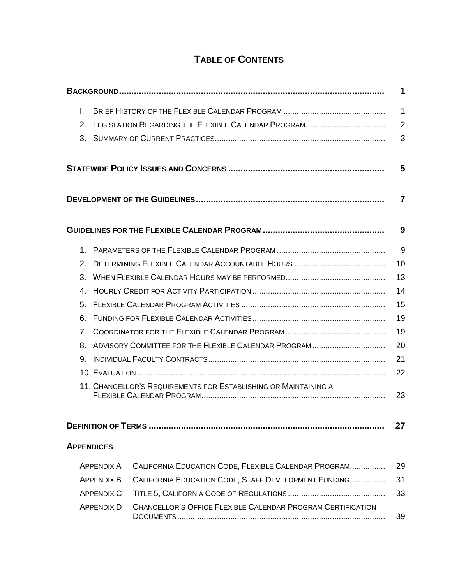# **TABLE OF CONTENTS**

| L.             |                                                            |                                                                 | 1              |
|----------------|------------------------------------------------------------|-----------------------------------------------------------------|----------------|
| 2 <sub>1</sub> |                                                            |                                                                 | $\overline{2}$ |
| 3.             |                                                            |                                                                 | 3              |
|                |                                                            |                                                                 | 5              |
|                |                                                            |                                                                 | 7              |
|                |                                                            |                                                                 | 9              |
| 1.             |                                                            |                                                                 | 9              |
| 2.             |                                                            |                                                                 | 10             |
| 3.             |                                                            |                                                                 | 13             |
| 4.             | 14                                                         |                                                                 |                |
| 5.             | 15                                                         |                                                                 |                |
| 6.             | 19                                                         |                                                                 |                |
| 7 <sub>1</sub> | 19                                                         |                                                                 |                |
| 8.             | ADVISORY COMMITTEE FOR THE FLEXIBLE CALENDAR PROGRAM<br>20 |                                                                 |                |
| 9.             |                                                            |                                                                 | 21             |
|                |                                                            |                                                                 | 22             |
|                |                                                            | 11. CHANCELLOR'S REQUIREMENTS FOR ESTABLISHING OR MAINTAINING A | 23             |
|                |                                                            |                                                                 |                |
|                |                                                            |                                                                 | 27             |
|                | <b>APPENDICES</b>                                          |                                                                 |                |
|                | <b>APPENDIX A</b>                                          | CALIFORNIA EDUCATION CODE, FLEXIBLE CALENDAR PROGRAM            | 29             |
|                | <b>APPENDIX B</b>                                          | CALIFORNIA EDUCATION CODE, STAFF DEVELOPMENT FUNDING            | 31             |
|                | <b>APPENDIX C</b>                                          |                                                                 | 33             |
|                | <b>APPENDIX D</b>                                          | CHANCELLOR'S OFFICE FLEXIBLE CALENDAR PROGRAM CERTIFICATION     | 39             |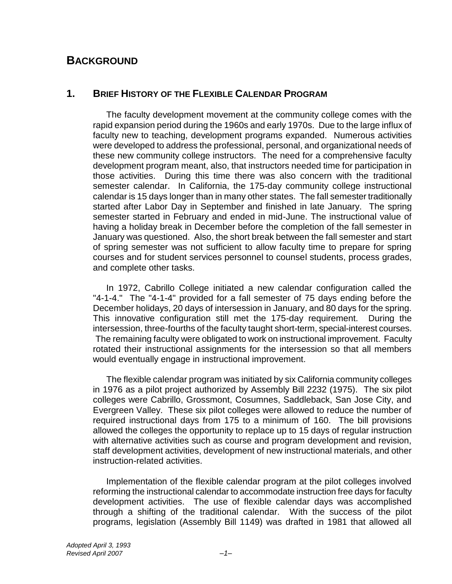## **BACKGROUND**

## **1. BRIEF HISTORY OF THE FLEXIBLE CALENDAR PROGRAM**

The faculty development movement at the community college comes with the rapid expansion period during the 1960s and early 1970s. Due to the large influx of faculty new to teaching, development programs expanded. Numerous activities were developed to address the professional, personal, and organizational needs of these new community college instructors. The need for a comprehensive faculty development program meant, also, that instructors needed time for participation in those activities. During this time there was also concern with the traditional semester calendar. In California, the 175-day community college instructional calendar is 15 days longer than in many other states. The fall semester traditionally started after Labor Day in September and finished in late January. The spring semester started in February and ended in mid-June. The instructional value of having a holiday break in December before the completion of the fall semester in January was questioned. Also, the short break between the fall semester and start of spring semester was not sufficient to allow faculty time to prepare for spring courses and for student services personnel to counsel students, process grades, and complete other tasks.

In 1972, Cabrillo College initiated a new calendar configuration called the "4-1-4." The "4-1-4" provided for a fall semester of 75 days ending before the December holidays, 20 days of intersession in January, and 80 days for the spring. This innovative configuration still met the 175-day requirement. During the intersession, three-fourths of the faculty taught short-term, special-interest courses. The remaining faculty were obligated to work on instructional improvement. Faculty rotated their instructional assignments for the intersession so that all members would eventually engage in instructional improvement.

The flexible calendar program was initiated by six California community colleges in 1976 as a pilot project authorized by Assembly Bill 2232 (1975). The six pilot colleges were Cabrillo, Grossmont, Cosumnes, Saddleback, San Jose City, and Evergreen Valley. These six pilot colleges were allowed to reduce the number of required instructional days from 175 to a minimum of 160. The bill provisions allowed the colleges the opportunity to replace up to 15 days of regular instruction with alternative activities such as course and program development and revision, staff development activities, development of new instructional materials, and other instruction-related activities.

Implementation of the flexible calendar program at the pilot colleges involved reforming the instructional calendar to accommodate instruction free days for faculty development activities. The use of flexible calendar days was accomplished through a shifting of the traditional calendar. With the success of the pilot programs, legislation (Assembly Bill 1149) was drafted in 1981 that allowed all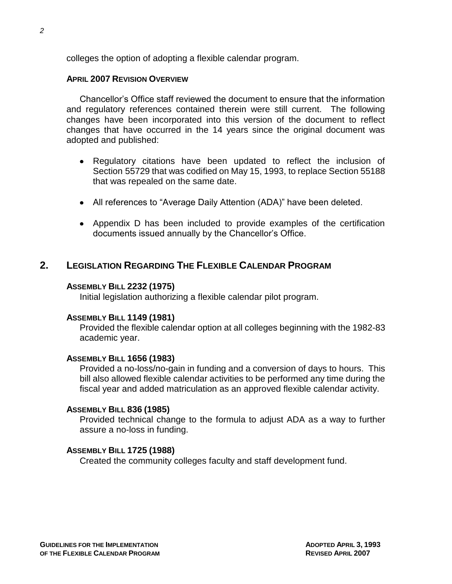colleges the option of adopting a flexible calendar program.

## **APRIL 2007 REVISION OVERVIEW**

Chancellor's Office staff reviewed the document to ensure that the information and regulatory references contained therein were still current. The following changes have been incorporated into this version of the document to reflect changes that have occurred in the 14 years since the original document was adopted and published:

- Regulatory citations have been updated to reflect the inclusion of Section 55729 that was codified on May 15, 1993, to replace Section 55188 that was repealed on the same date.
- All references to "Average Daily Attention (ADA)" have been deleted.
- Appendix D has been included to provide examples of the certification documents issued annually by the Chancellor's Office.

## **2. LEGISLATION REGARDING THE FLEXIBLE CALENDAR PROGRAM**

### **ASSEMBLY BILL 2232 (1975)**

Initial legislation authorizing a flexible calendar pilot program.

## **ASSEMBLY BILL 1149 (1981)**

Provided the flexible calendar option at all colleges beginning with the 1982-83 academic year.

## **ASSEMBLY BILL 1656 (1983)**

Provided a no-loss/no-gain in funding and a conversion of days to hours. This bill also allowed flexible calendar activities to be performed any time during the fiscal year and added matriculation as an approved flexible calendar activity.

### **ASSEMBLY BILL 836 (1985)**

Provided technical change to the formula to adjust ADA as a way to further assure a no-loss in funding.

## **ASSEMBLY BILL 1725 (1988)**

Created the community colleges faculty and staff development fund.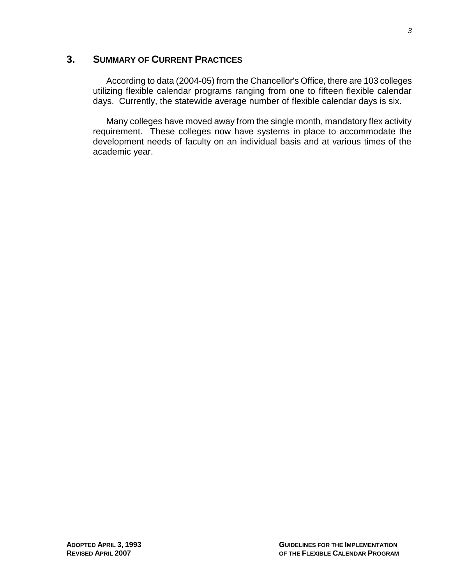## **3. SUMMARY OF CURRENT PRACTICES**

According to data (2004-05) from the Chancellor's Office, there are 103 colleges utilizing flexible calendar programs ranging from one to fifteen flexible calendar days. Currently, the statewide average number of flexible calendar days is six.

Many colleges have moved away from the single month, mandatory flex activity requirement. These colleges now have systems in place to accommodate the development needs of faculty on an individual basis and at various times of the academic year.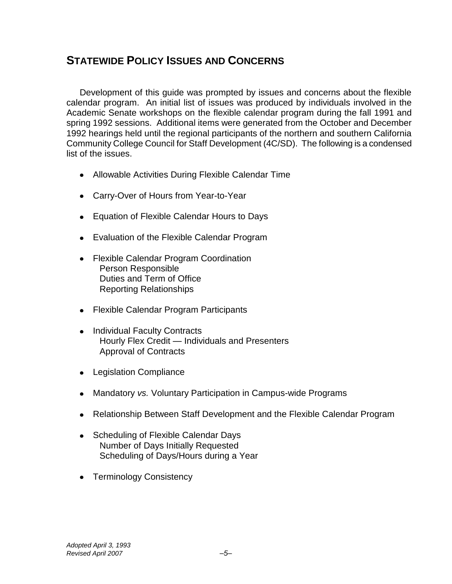# **STATEWIDE POLICY ISSUES AND CONCERNS**

Development of this guide was prompted by issues and concerns about the flexible calendar program. An initial list of issues was produced by individuals involved in the Academic Senate workshops on the flexible calendar program during the fall 1991 and spring 1992 sessions. Additional items were generated from the October and December 1992 hearings held until the regional participants of the northern and southern California Community College Council for Staff Development (4C/SD). The following is a condensed list of the issues.

- Allowable Activities During Flexible Calendar Time
- Carry-Over of Hours from Year-to-Year
- Equation of Flexible Calendar Hours to Days
- Evaluation of the Flexible Calendar Program
- Flexible Calendar Program Coordination Person Responsible Duties and Term of Office Reporting Relationships
- Flexible Calendar Program Participants
- Individual Faculty Contracts Hourly Flex Credit — Individuals and Presenters Approval of Contracts
- Legislation Compliance
- Mandatory *vs.* Voluntary Participation in Campus-wide Programs
- Relationship Between Staff Development and the Flexible Calendar Program
- Scheduling of Flexible Calendar Days Number of Days Initially Requested Scheduling of Days/Hours during a Year
- Terminology Consistency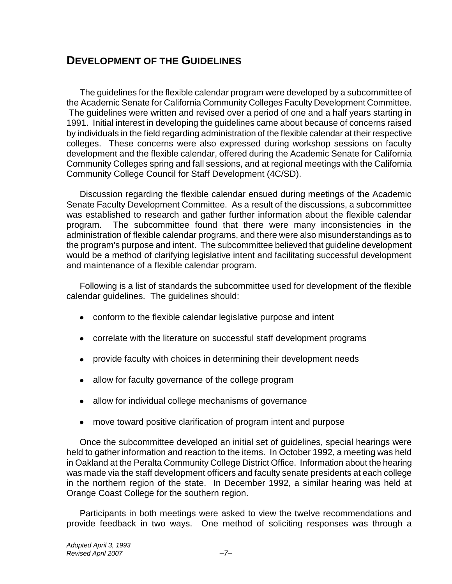## **DEVELOPMENT OF THE GUIDELINES**

The guidelines for the flexible calendar program were developed by a subcommittee of the Academic Senate for California Community Colleges Faculty Development Committee. The guidelines were written and revised over a period of one and a half years starting in 1991. Initial interest in developing the guidelines came about because of concerns raised by individuals in the field regarding administration of the flexible calendar at their respective colleges. These concerns were also expressed during workshop sessions on faculty development and the flexible calendar, offered during the Academic Senate for California Community Colleges spring and fall sessions, and at regional meetings with the California Community College Council for Staff Development (4C/SD).

Discussion regarding the flexible calendar ensued during meetings of the Academic Senate Faculty Development Committee. As a result of the discussions, a subcommittee was established to research and gather further information about the flexible calendar program. The subcommittee found that there were many inconsistencies in the administration of flexible calendar programs, and there were also misunderstandings as to the program's purpose and intent. The subcommittee believed that guideline development would be a method of clarifying legislative intent and facilitating successful development and maintenance of a flexible calendar program.

Following is a list of standards the subcommittee used for development of the flexible calendar guidelines. The guidelines should:

- conform to the flexible calendar legislative purpose and intent
- correlate with the literature on successful staff development programs
- provide faculty with choices in determining their development needs
- allow for faculty governance of the college program
- allow for individual college mechanisms of governance
- move toward positive clarification of program intent and purpose

Once the subcommittee developed an initial set of guidelines, special hearings were held to gather information and reaction to the items. In October 1992, a meeting was held in Oakland at the Peralta Community College District Office. Information about the hearing was made via the staff development officers and faculty senate presidents at each college in the northern region of the state. In December 1992, a similar hearing was held at Orange Coast College for the southern region.

Participants in both meetings were asked to view the twelve recommendations and provide feedback in two ways. One method of soliciting responses was through a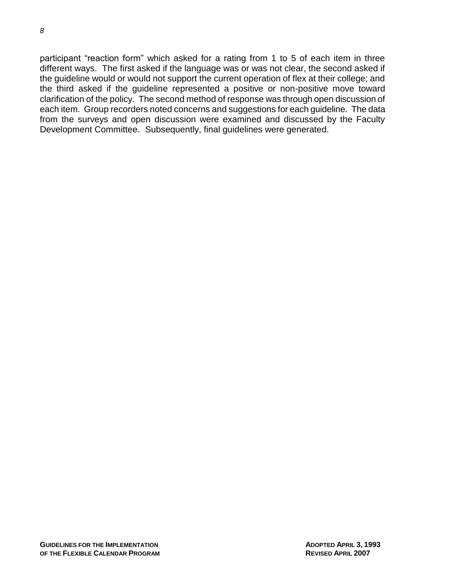participant "reaction form" which asked for a rating from 1 to 5 of each item in three different ways. The first asked if the language was or was not clear, the second asked if the guideline would or would not support the current operation of flex at their college; and the third asked if the guideline represented a positive or non-positive move toward clarification of the policy. The second method of response was through open discussion of each item. Group recorders noted concerns and suggestions for each guideline. The data from the surveys and open discussion were examined and discussed by the Faculty Development Committee. Subsequently, final guidelines were generated.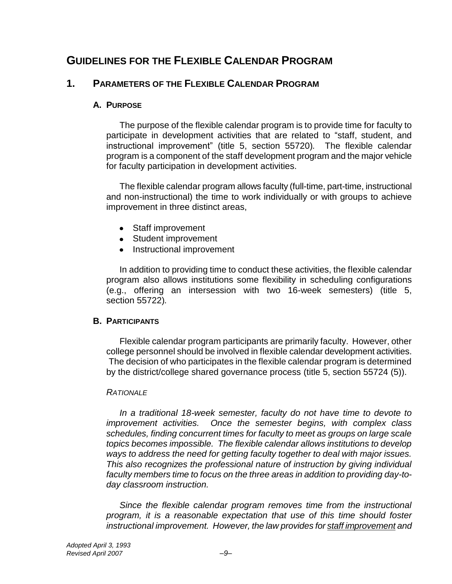## **GUIDELINES FOR THE FLEXIBLE CALENDAR PROGRAM**

## **1. PARAMETERS OF THE FLEXIBLE CALENDAR PROGRAM**

## **A. PURPOSE**

The purpose of the flexible calendar program is to provide time for faculty to participate in development activities that are related to "staff, student, and instructional improvement" (title 5, section 55720)*.* The flexible calendar program is a component of the staff development program and the major vehicle for faculty participation in development activities.

The flexible calendar program allows faculty (full-time, part-time, instructional and non-instructional) the time to work individually or with groups to achieve improvement in three distinct areas,

- Staff improvement
- Student improvement
- Instructional improvement

In addition to providing time to conduct these activities, the flexible calendar program also allows institutions some flexibility in scheduling configurations (e.g., offering an intersession with two 16-week semesters) (title 5, section 55722)*.* 

## **B. PARTICIPANTS**

Flexible calendar program participants are primarily faculty. However, other college personnel should be involved in flexible calendar development activities. The decision of who participates in the flexible calendar program is determined by the district/college shared governance process (title 5, section 55724 (5)).

## *RATIONALE*

*In a traditional 18-week semester, faculty do not have time to devote to improvement activities. Once the semester begins, with complex class schedules, finding concurrent times for faculty to meet as groups on large scale topics becomes impossible. The flexible calendar allows institutions to develop ways to address the need for getting faculty together to deal with major issues. This also recognizes the professional nature of instruction by giving individual faculty members time to focus on the three areas in addition to providing day*-*today classroom instruction.*

*Since the flexible calendar program removes time from the instructional program, it is a reasonable expectation that use of this time should foster instructional improvement. However, the law provides for staff improvement and*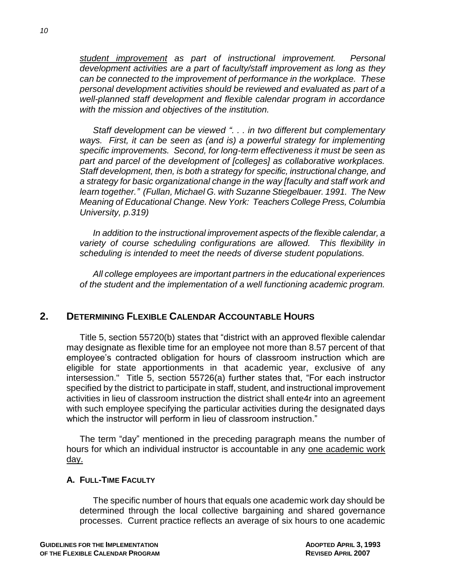*student improvement as part of instructional improvement. Personal development activities are a part of faculty/staff improvement as long as they can be connected to the improvement of performance in the workplace. These personal development activities should be reviewed and evaluated as part of a well-planned staff development and flexible calendar program in accordance with the mission and objectives of the institution.*

*Staff development can be viewed ―. . . in two different but complementary ways. First, it can be seen as (and is) a powerful strategy for implementing specific improvements. Second, for long-term effectiveness it must be seen as part and parcel of the development of [colleges] as collaborative workplaces. Staff development, then, is both a strategy for specific, instructional change, and a strategy for basic organizational change in the way [faculty and staff work and learn together.‖ (Fullan, Michael G. with Suzanne Stiegelbauer. 1991. The New Meaning of Educational Change. New York: Teachers College Press, Columbia University, p.319)*

*In addition to the instructional improvement aspects of the flexible calendar, a variety of course scheduling configurations are allowed. This flexibility in scheduling is intended to meet the needs of diverse student populations.*

*All college employees are important partners in the educational experiences of the student and the implementation of a well functioning academic program.*

## **2. DETERMINING FLEXIBLE CALENDAR ACCOUNTABLE HOURS**

Title 5, section 55720(b) states that "district with an approved flexible calendar may designate as flexible time for an employee not more than 8.57 percent of that employee's contracted obligation for hours of classroom instruction which are eligible for state apportionments in that academic year, exclusive of any intersession." Title 5, section 55726(a) further states that, "For each instructor specified by the district to participate in staff, student, and instructional improvement activities in lieu of classroom instruction the district shall ente4r into an agreement with such employee specifying the particular activities during the designated days which the instructor will perform in lieu of classroom instruction."

The term "day" mentioned in the preceding paragraph means the number of hours for which an individual instructor is accountable in any one academic work day.

## **A. FULL-TIME FACULTY**

The specific number of hours that equals one academic work day should be determined through the local collective bargaining and shared governance processes. Current practice reflects an average of six hours to one academic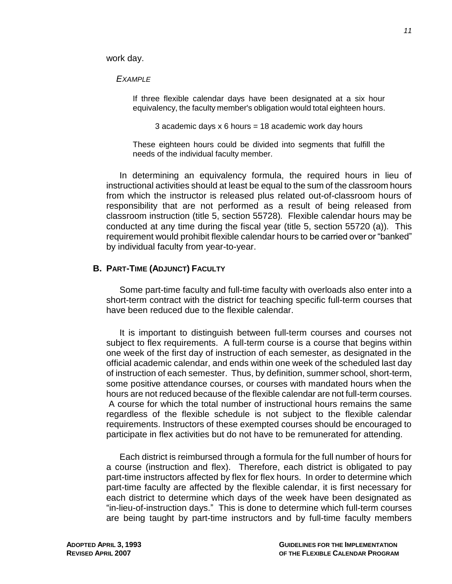work day.

*EXAMPLE*

If three flexible calendar days have been designated at a six hour equivalency, the faculty member's obligation would total eighteen hours.

3 academic days  $x 6$  hours = 18 academic work day hours

These eighteen hours could be divided into segments that fulfill the needs of the individual faculty member.

In determining an equivalency formula, the required hours in lieu of instructional activities should at least be equal to the sum of the classroom hours from which the instructor is released plus related out-of-classroom hours of responsibility that are not performed as a result of being released from classroom instruction (title 5, section 55728)*.* Flexible calendar hours may be conducted at any time during the fiscal year (title 5, section 55720 (a))*.* This requirement would prohibit flexible calendar hours to be carried over or "banked" by individual faculty from year-to-year.

## **B. PART-TIME (ADJUNCT) FACULTY**

Some part-time faculty and full-time faculty with overloads also enter into a short-term contract with the district for teaching specific full-term courses that have been reduced due to the flexible calendar.

It is important to distinguish between full-term courses and courses not subject to flex requirements. A full-term course is a course that begins within one week of the first day of instruction of each semester, as designated in the official academic calendar, and ends within one week of the scheduled last day of instruction of each semester. Thus, by definition, summer school, short-term, some positive attendance courses, or courses with mandated hours when the hours are not reduced because of the flexible calendar are not full-term courses. A course for which the total number of instructional hours remains the same regardless of the flexible schedule is not subject to the flexible calendar requirements. Instructors of these exempted courses should be encouraged to participate in flex activities but do not have to be remunerated for attending.

Each district is reimbursed through a formula for the full number of hours for a course (instruction and flex). Therefore, each district is obligated to pay part-time instructors affected by flex for flex hours. In order to determine which part-time faculty are affected by the flexible calendar, it is first necessary for each district to determine which days of the week have been designated as "in-lieu-of-instruction days." This is done to determine which full-term courses are being taught by part-time instructors and by full-time faculty members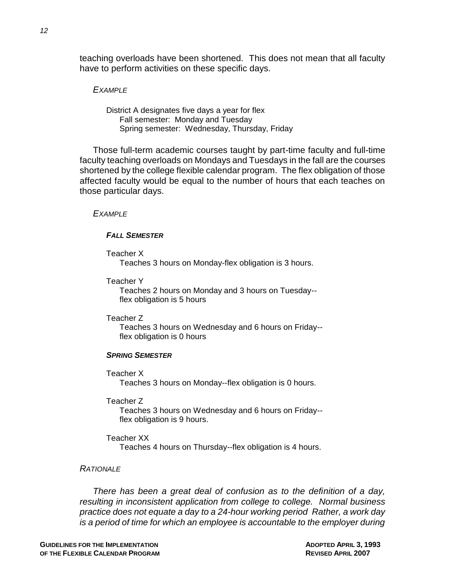teaching overloads have been shortened. This does not mean that all faculty have to perform activities on these specific days.

#### *EXAMPLE*

District A designates five days a year for flex Fall semester: Monday and Tuesday Spring semester: Wednesday, Thursday, Friday

Those full-term academic courses taught by part-time faculty and full-time faculty teaching overloads on Mondays and Tuesdays in the fall are the courses shortened by the college flexible calendar program. The flex obligation of those affected faculty would be equal to the number of hours that each teaches on those particular days.

#### *EXAMPLE*

#### *FALL SEMESTER*

Teacher X

Teaches 3 hours on Monday-flex obligation is 3 hours.

Teacher Y

Teaches 2 hours on Monday and 3 hours on Tuesday- flex obligation is 5 hours

Teacher Z

Teaches 3 hours on Wednesday and 6 hours on Friday- flex obligation is 0 hours

#### *SPRING SEMESTER*

Teacher X

Teaches 3 hours on Monday--flex obligation is 0 hours.

Teacher Z

Teaches 3 hours on Wednesday and 6 hours on Friday- flex obligation is 9 hours.

Teacher XX

Teaches 4 hours on Thursday--flex obligation is 4 hours.

#### *RATIONALE*

*There has been a great deal of confusion as to the definition of a day, resulting in inconsistent application from college to college. Normal business practice does not equate a day to a 24-hour working period Rather, a work day is a period of time for which an employee is accountable to the employer during*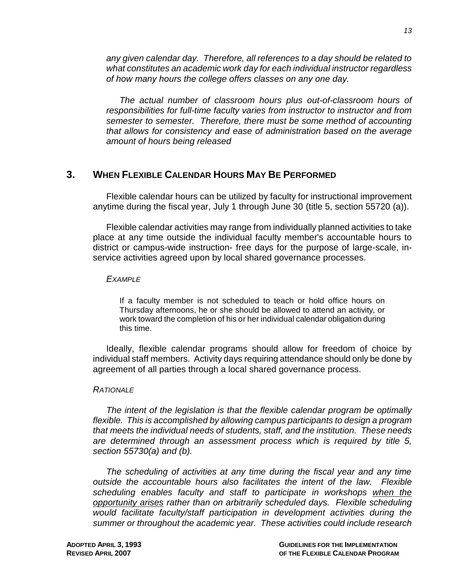*any given calendar day. Therefore, all references to a day should be related to what constitutes an academic work day for each individual instructor regardless of how many hours the college offers classes on any one day.*

*The actual number of classroom hours plus out-of-classroom hours of responsibilities for full-time faculty varies from instructor to instructor and from semester to semester. Therefore, there must be some method of accounting that allows for consistency and ease of administration based on the average amount of hours being released*

## **3. WHEN FLEXIBLE CALENDAR HOURS MAY BE PERFORMED**

Flexible calendar hours can be utilized by faculty for instructional improvement anytime during the fiscal year, July 1 through June 30 (title 5, section 55720 (a)).

Flexible calendar activities may range from individually planned activities to take place at any time outside the individual faculty member's accountable hours to district or campus-wide instruction- free days for the purpose of large-scale, inservice activities agreed upon by local shared governance processes.

### *EXAMPLE*

If a faculty member is not scheduled to teach or hold office hours on Thursday afternoons, he or she should be allowed to attend an activity, or work toward the completion of his or her individual calendar obligation during this time.

Ideally, flexible calendar programs should allow for freedom of choice by individual staff members. Activity days requiring attendance should only be done by agreement of all parties through a local shared governance process.

### *RATIONALE*

*The intent of the legislation is that the flexible calendar program be optimally flexible. This is accomplished by allowing campus participants to design a program that meets the individual needs of students, staff, and the institution. These needs are determined through an assessment process which is required by title 5, section 55730(a) and (b).*

*The scheduling of activities at any time during the fiscal year and any time outside the accountable hours also facilitates the intent of the law. Flexible scheduling enables faculty and staff to participate in workshops when the opportunity arises rather than on arbitrarily scheduled days. Flexible scheduling would facilitate faculty/staff participation in development activities during the summer or throughout the academic year. These activities could include research*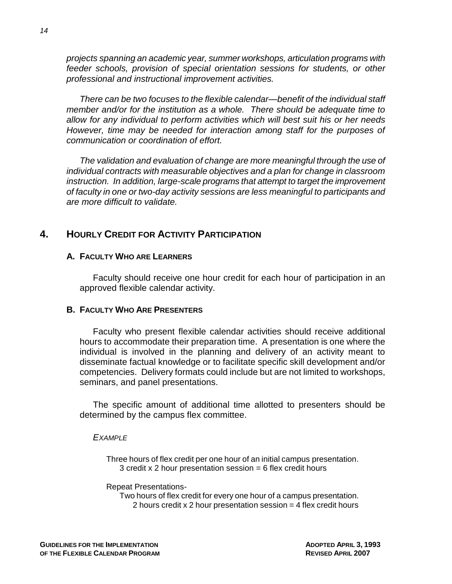*projects spanning an academic year, summer workshops, articulation programs with feeder schools, provision of special orientation sessions for students, or other professional and instructional improvement activities.*

*There can be two focuses to the flexible calendar—benefit of the individual staff member and/or for the institution as a whole. There should be adequate time to allow for any individual to perform activities which will best suit his or her needs However, time may be needed for interaction among staff for the purposes of communication or coordination of effort.*

*The validation and evaluation of change are more meaningful through the use of individual contracts with measurable objectives and a plan for change in classroom instruction. In addition, large-scale programs that attempt to target the improvement of faculty in one or two-day activity sessions are less meaningful to participants and are more difficult to validate.*

## **4. HOURLY CREDIT FOR ACTIVITY PARTICIPATION**

## **A. FACULTY WHO ARE LEARNERS**

Faculty should receive one hour credit for each hour of participation in an approved flexible calendar activity.

## **B. FACULTY WHO ARE PRESENTERS**

Faculty who present flexible calendar activities should receive additional hours to accommodate their preparation time. A presentation is one where the individual is involved in the planning and delivery of an activity meant to disseminate factual knowledge or to facilitate specific skill development and/or competencies. Delivery formats could include but are not limited to workshops, seminars, and panel presentations.

The specific amount of additional time allotted to presenters should be determined by the campus flex committee.

### *EXAMPLE*

Three hours of flex credit per one hour of an initial campus presentation. 3 credit x 2 hour presentation session  $= 6$  flex credit hours

#### Repeat Presentations-

Two hours of flex credit for every one hour of a campus presentation. 2 hours credit x 2 hour presentation session = 4 flex credit hours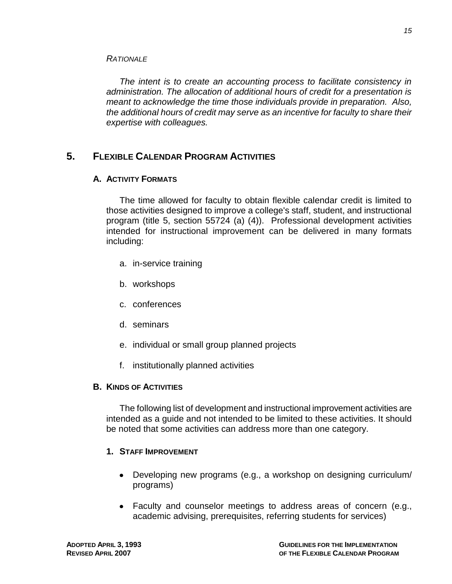*The intent is to create an accounting process to facilitate consistency in administration. The allocation of additional hours of credit for a presentation is meant to acknowledge the time those individuals provide in preparation. Also, the additional hours of credit may serve as an incentive for faculty to share their expertise with colleagues.*

## **5. FLEXIBLE CALENDAR PROGRAM ACTIVITIES**

## **A. ACTIVITY FORMATS**

*RATIONALE*

The time allowed for faculty to obtain flexible calendar credit is limited to those activities designed to improve a college's staff, student, and instructional program (title 5, section 55724 (a) (4)). Professional development activities intended for instructional improvement can be delivered in many formats including:

- a. in-service training
- b. workshops
- c. conferences
- d. seminars
- e. individual or small group planned projects
- f. institutionally planned activities

## **B. KINDS OF ACTIVITIES**

The following list of development and instructional improvement activities are intended as a guide and not intended to be limited to these activities. It should be noted that some activities can address more than one category.

## **1. STAFF IMPROVEMENT**

- Developing new programs (e.g., a workshop on designing curriculum/ programs)
- Faculty and counselor meetings to address areas of concern (e.g., academic advising, prerequisites, referring students for services)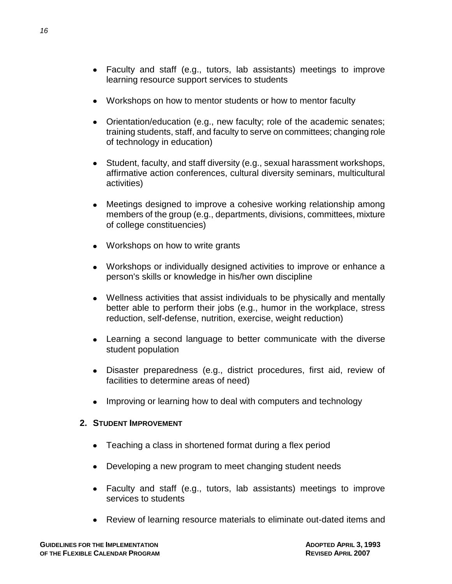- Faculty and staff (e.g., tutors, lab assistants) meetings to improve learning resource support services to students
- Workshops on how to mentor students or how to mentor faculty
- Orientation/education (e.g., new faculty; role of the academic senates; training students, staff, and faculty to serve on committees; changing role of technology in education)
- Student, faculty, and staff diversity (e.g., sexual harassment workshops, affirmative action conferences, cultural diversity seminars, multicultural activities)
- Meetings designed to improve a cohesive working relationship among  $\bullet$ members of the group (e.g., departments, divisions, committees, mixture of college constituencies)
- Workshops on how to write grants
- Workshops or individually designed activities to improve or enhance a person's skills or knowledge in his/her own discipline
- Wellness activities that assist individuals to be physically and mentally better able to perform their jobs (e.g., humor in the workplace, stress reduction, self-defense, nutrition, exercise, weight reduction)
- Learning a second language to better communicate with the diverse student population
- Disaster preparedness (e.g., district procedures, first aid, review of facilities to determine areas of need)
- Improving or learning how to deal with computers and technology

## **2. STUDENT IMPROVEMENT**

- Teaching a class in shortened format during a flex period
- Developing a new program to meet changing student needs
- Faculty and staff (e.g., tutors, lab assistants) meetings to improve services to students
- Review of learning resource materials to eliminate out-dated items and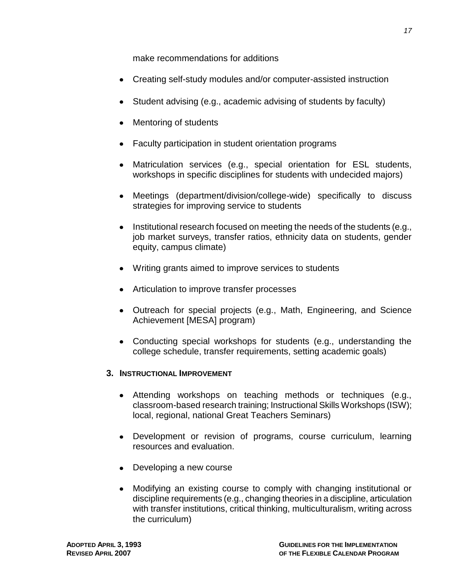make recommendations for additions

- Creating self-study modules and/or computer-assisted instruction
- Student advising (e.g., academic advising of students by faculty)
- Mentoring of students
- Faculty participation in student orientation programs
- Matriculation services (e.g., special orientation for ESL students, workshops in specific disciplines for students with undecided majors)
- Meetings (department/division/college-wide) specifically to discuss strategies for improving service to students
- Institutional research focused on meeting the needs of the students (e.g., job market surveys, transfer ratios, ethnicity data on students, gender equity, campus climate)
- Writing grants aimed to improve services to students
- Articulation to improve transfer processes
- Outreach for special projects (e.g., Math, Engineering, and Science Achievement [MESA] program)
- Conducting special workshops for students (e.g., understanding the college schedule, transfer requirements, setting academic goals)

## **3. INSTRUCTIONAL IMPROVEMENT**

- Attending workshops on teaching methods or techniques (e.g., classroom-based research training; Instructional Skills Workshops (ISW); local, regional, national Great Teachers Seminars)
- Development or revision of programs, course curriculum, learning resources and evaluation.
- Developing a new course
- Modifying an existing course to comply with changing institutional or  $\bullet$ discipline requirements (e.g., changing theories in a discipline, articulation with transfer institutions, critical thinking, multiculturalism, writing across the curriculum)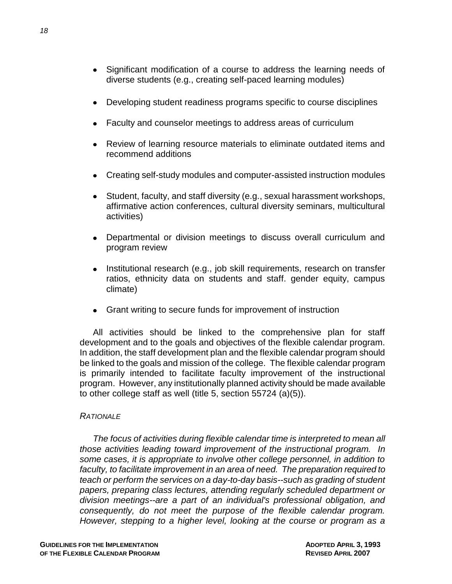- Significant modification of a course to address the learning needs of diverse students (e.g., creating self-paced learning modules)
- Developing student readiness programs specific to course disciplines
- Faculty and counselor meetings to address areas of curriculum
- Review of learning resource materials to eliminate outdated items and recommend additions
- Creating self-study modules and computer-assisted instruction modules
- Student, faculty, and staff diversity (e.g., sexual harassment workshops, affirmative action conferences, cultural diversity seminars, multicultural activities)
- Departmental or division meetings to discuss overall curriculum and  $\bullet$ program review
- Institutional research (e.g., job skill requirements, research on transfer ratios, ethnicity data on students and staff. gender equity, campus climate)
- Grant writing to secure funds for improvement of instruction

All activities should be linked to the comprehensive plan for staff development and to the goals and objectives of the flexible calendar program. In addition, the staff development plan and the flexible calendar program should be linked to the goals and mission of the college. The flexible calendar program is primarily intended to facilitate faculty improvement of the instructional program. However, any institutionally planned activity should be made available to other college staff as well (title 5, section 55724 (a)(5)).

## *RATIONALE*

*The focus of activities during flexible calendar time is interpreted to mean all those activities leading toward improvement of the instructional program. In some cases, it is appropriate to involve other college personnel, in addition to faculty, to facilitate improvement in an area of need. The preparation required to teach or perform the services on a day-to-day basis--such as grading of student papers, preparing class lectures, attending regularly scheduled department or division meetings--are a part of an individual's professional obligation, and consequently, do not meet the purpose of the flexible calendar program. However, stepping to a higher level, looking at the course or program as a*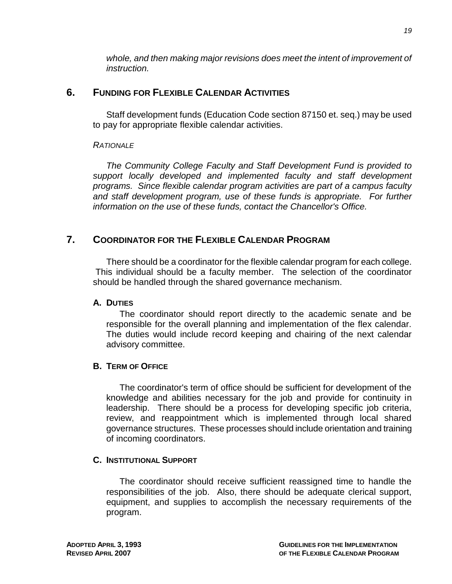*whole, and then making major revisions does meet the intent of improvement of instruction.*

## **6. FUNDING FOR FLEXIBLE CALENDAR ACTIVITIES**

Staff development funds (Education Code section 87150 et. seq.) may be used to pay for appropriate flexible calendar activities.

## *RATIONALE*

*The Community College Faculty and Staff Development Fund is provided to support locally developed and implemented faculty and staff development programs. Since flexible calendar program activities are part of a campus faculty*  and staff development program, use of these funds is appropriate. For further *information on the use of these funds, contact the Chancellor's Office.*

## **7. COORDINATOR FOR THE FLEXIBLE CALENDAR PROGRAM**

There should be a coordinator for the flexible calendar program for each college. This individual should be a faculty member. The selection of the coordinator should be handled through the shared governance mechanism.

## **A. DUTIES**

The coordinator should report directly to the academic senate and be responsible for the overall planning and implementation of the flex calendar. The duties would include record keeping and chairing of the next calendar advisory committee.

## **B. TERM OF OFFICE**

The coordinator's term of office should be sufficient for development of the knowledge and abilities necessary for the job and provide for continuity in leadership. There should be a process for developing specific job criteria, review, and reappointment which is implemented through local shared governance structures. These processes should include orientation and training of incoming coordinators.

## **C. INSTITUTIONAL SUPPORT**

The coordinator should receive sufficient reassigned time to handle the responsibilities of the job. Also, there should be adequate clerical support, equipment, and supplies to accomplish the necessary requirements of the program.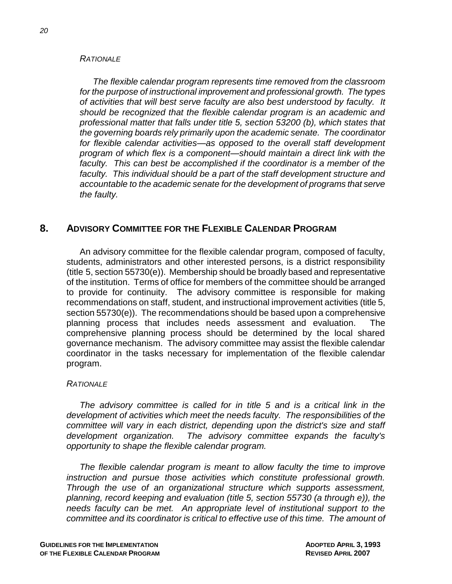#### *RATIONALE*

*The flexible calendar program represents time removed from the classroom for the purpose of instructional improvement and professional growth. The types of activities that will best serve faculty are also best understood by faculty. It should be recognized that the flexible calendar program is an academic and professional matter that falls under title 5, section 53200 (b), which states that the governing boards rely primarily upon the academic senate. The coordinator for flexible calendar activities—as opposed to the overall staff development program of which flex is a component—should maintain a direct link with the faculty. This can best be accomplished if the coordinator is a member of the faculty. This individual should be a part of the staff development structure and accountable to the academic senate for the development of programs that serve the faulty.*

## **8. ADVISORY COMMITTEE FOR THE FLEXIBLE CALENDAR PROGRAM**

An advisory committee for the flexible calendar program, composed of faculty, students, administrators and other interested persons, is a district responsibility (title 5, section 55730(e)). Membership should be broadly based and representative of the institution. Terms of office for members of the committee should be arranged to provide for continuity. The advisory committee is responsible for making recommendations on staff, student, and instructional improvement activities (title 5, section 55730(e)). The recommendations should be based upon a comprehensive planning process that includes needs assessment and evaluation. The comprehensive planning process should be determined by the local shared governance mechanism. The advisory committee may assist the flexible calendar coordinator in the tasks necessary for implementation of the flexible calendar program.

### *RATIONALE*

*The advisory committee is called for in title 5 and is a critical link in the development of activities which meet the needs faculty. The responsibilities of the committee will vary in each district, depending upon the district's size and staff development organization. The advisory committee expands the faculty's opportunity to shape the flexible calendar program.*

*The flexible calendar program is meant to allow faculty the time to improve instruction and pursue those activities which constitute professional growth. Through the use of an organizational structure which supports assessment, planning, record keeping and evaluation (title 5, section 55730 (a through e)), the needs faculty can be met. An appropriate level of institutional support to the committee and its coordinator is critical to effective use of this time. The amount of*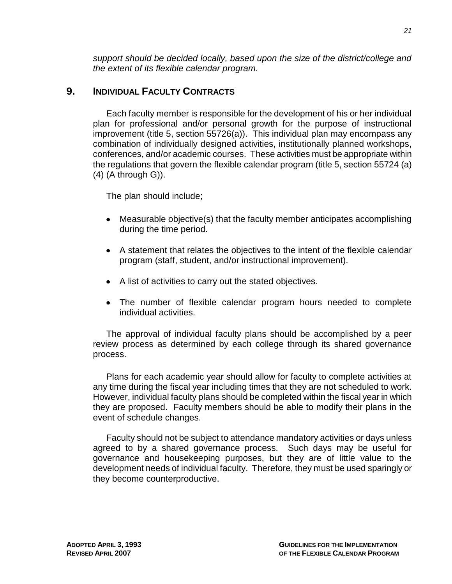*support should be decided locally, based upon the size of the district/college and the extent of its flexible calendar program.*

## **9. INDIVIDUAL FACULTY CONTRACTS**

Each faculty member is responsible for the development of his or her individual plan for professional and/or personal growth for the purpose of instructional improvement (title 5, section 55726(a)). This individual plan may encompass any combination of individually designed activities, institutionally planned workshops, conferences, and/or academic courses. These activities must be appropriate within the regulations that govern the flexible calendar program (title 5, section 55724 (a) (4) (A through G)).

The plan should include;

- Measurable objective(s) that the faculty member anticipates accomplishing during the time period.
- A statement that relates the objectives to the intent of the flexible calendar program (staff, student, and/or instructional improvement).
- A list of activities to carry out the stated objectives.
- The number of flexible calendar program hours needed to complete individual activities.

The approval of individual faculty plans should be accomplished by a peer review process as determined by each college through its shared governance process.

Plans for each academic year should allow for faculty to complete activities at any time during the fiscal year including times that they are not scheduled to work. However, individual faculty plans should be completed within the fiscal year in which they are proposed. Faculty members should be able to modify their plans in the event of schedule changes.

Faculty should not be subject to attendance mandatory activities or days unless agreed to by a shared governance process. Such days may be useful for governance and housekeeping purposes, but they are of little value to the development needs of individual faculty. Therefore, they must be used sparingly or they become counterproductive.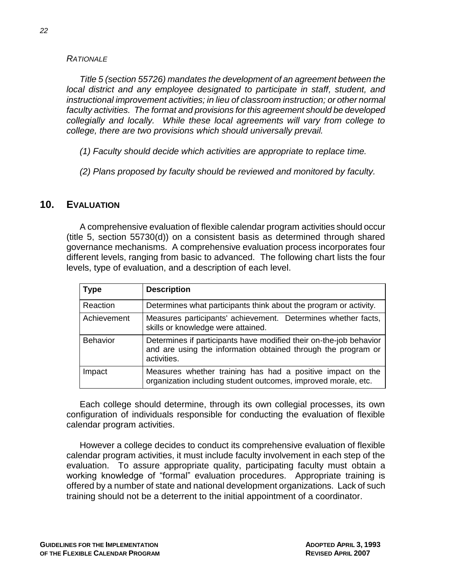## *RATIONALE*

*Title 5 (section 55726) mandates the development of an agreement between the local district and any employee designated to participate in staff, student, and instructional improvement activities; in lieu of classroom instruction; or other normal faculty activities. The format and provisions for this agreement should be developed collegially and locally. While these local agreements will vary from college to college, there are two provisions which should universally prevail.*

- *(1) Faculty should decide which activities are appropriate to replace time.*
- *(2) Plans proposed by faculty should be reviewed and monitored by faculty.*

## **10. EVALUATION**

A comprehensive evaluation of flexible calendar program activities should occur (title 5, section 55730(d)) on a consistent basis as determined through shared governance mechanisms. A comprehensive evaluation process incorporates four different levels, ranging from basic to advanced. The following chart lists the four levels, type of evaluation, and a description of each level.

| <b>Type</b>     | <b>Description</b>                                                                                                                                 |
|-----------------|----------------------------------------------------------------------------------------------------------------------------------------------------|
| Reaction        | Determines what participants think about the program or activity.                                                                                  |
| Achievement     | Measures participants' achievement. Determines whether facts,<br>skills or knowledge were attained.                                                |
| <b>Behavior</b> | Determines if participants have modified their on-the-job behavior<br>and are using the information obtained through the program or<br>activities. |
| Impact          | Measures whether training has had a positive impact on the<br>organization including student outcomes, improved morale, etc.                       |

Each college should determine, through its own collegial processes, its own configuration of individuals responsible for conducting the evaluation of flexible calendar program activities.

However a college decides to conduct its comprehensive evaluation of flexible calendar program activities, it must include faculty involvement in each step of the evaluation. To assure appropriate quality, participating faculty must obtain a working knowledge of "formal" evaluation procedures. Appropriate training is offered by a number of state and national development organizations. Lack of such training should not be a deterrent to the initial appointment of a coordinator.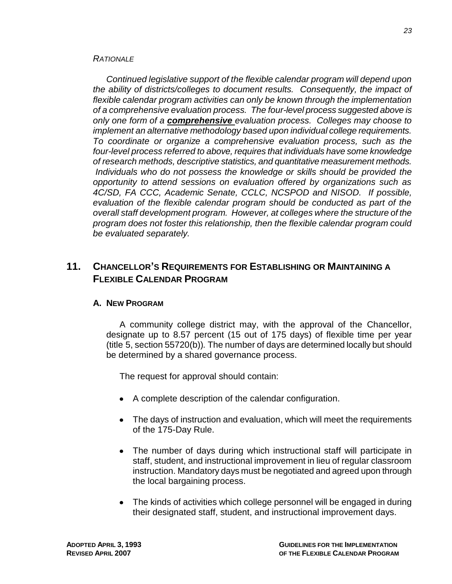### *RATIONALE*

*Continued legislative support of the flexible calendar program will depend upon the ability of districts/colleges to document results. Consequently, the impact of flexible calendar program activities can only be known through the implementation of a comprehensive evaluation process. The four-level process suggested above is only one form of a comprehensive evaluation process. Colleges may choose to implement an alternative methodology based upon individual college requirements. To coordinate or organize a comprehensive evaluation process, such as the four-level process referred to above, requires that individuals have some knowledge of research methods, descriptive statistics, and quantitative measurement methods. Individuals who do not possess the knowledge or skills should be provided the opportunity to attend sessions on evaluation offered by organizations such as 4C/SD, FA CCC, Academic Senate, CCLC, NCSPOD and NISOD. If possible, evaluation of the flexible calendar program should be conducted as part of the overall staff development program. However, at colleges where the structure of the program does not foster this relationship, then the flexible calendar program could be evaluated separately.*

## **11. CHANCELLOR'S REQUIREMENTS FOR ESTABLISHING OR MAINTAINING A FLEXIBLE CALENDAR PROGRAM**

## **A. NEW PROGRAM**

A community college district may, with the approval of the Chancellor, designate up to 8.57 percent (15 out of 175 days) of flexible time per year (title 5, section 55720(b))*.* The number of days are determined locally but should be determined by a shared governance process.

The request for approval should contain:

- A complete description of the calendar configuration.
- The days of instruction and evaluation, which will meet the requirements of the 175-Day Rule.
- The number of days during which instructional staff will participate in staff, student, and instructional improvement in lieu of regular classroom instruction. Mandatory days must be negotiated and agreed upon through the local bargaining process.
- The kinds of activities which college personnel will be engaged in during their designated staff, student, and instructional improvement days.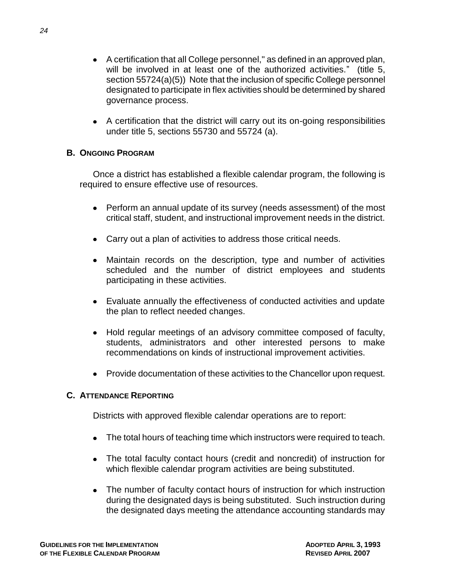- A certification that all College personnel," as defined in an approved plan, will be involved in at least one of the authorized activities." (title 5, section 55724(a)(5)) Note that the inclusion of specific College personnel designated to participate in flex activities should be determined by shared governance process.
- A certification that the district will carry out its on-going responsibilities under title 5, sections 55730 and 55724 (a).

## **B. ONGOING PROGRAM**

Once a district has established a flexible calendar program, the following is required to ensure effective use of resources.

- Perform an annual update of its survey (needs assessment) of the most critical staff, student, and instructional improvement needs in the district.
- Carry out a plan of activities to address those critical needs.
- Maintain records on the description, type and number of activities scheduled and the number of district employees and students participating in these activities.
- Evaluate annually the effectiveness of conducted activities and update the plan to reflect needed changes.
- Hold regular meetings of an advisory committee composed of faculty, students, administrators and other interested persons to make recommendations on kinds of instructional improvement activities.
- Provide documentation of these activities to the Chancellor upon request.

## **C. ATTENDANCE REPORTING**

Districts with approved flexible calendar operations are to report:

- The total hours of teaching time which instructors were required to teach.
- The total faculty contact hours (credit and noncredit) of instruction for which flexible calendar program activities are being substituted.
- The number of faculty contact hours of instruction for which instruction during the designated days is being substituted. Such instruction during the designated days meeting the attendance accounting standards may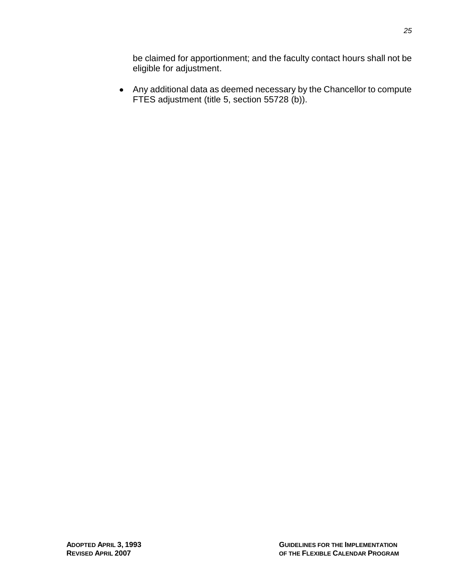be claimed for apportionment; and the faculty contact hours shall not be eligible for adjustment.

Any additional data as deemed necessary by the Chancellor to compute FTES adjustment (title 5, section 55728 (b)).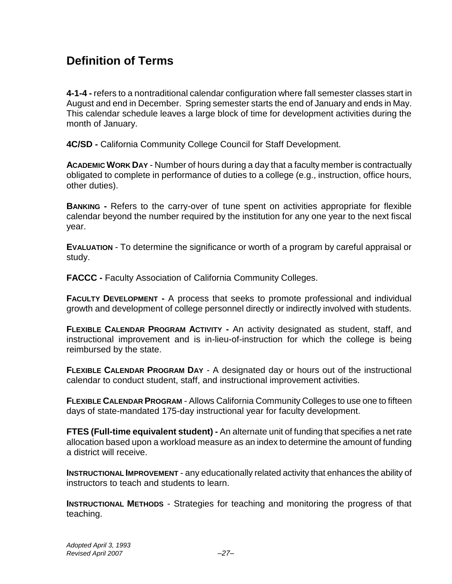# **Definition of Terms**

**4-1-4 -** refers to a nontraditional calendar configuration where fall semester classes start in August and end in December. Spring semester starts the end of January and ends in May. This calendar schedule leaves a large block of time for development activities during the month of January.

**4C/SD -** California Community College Council for Staff Development.

**ACADEMIC WORK DAY** - Number of hours during a day that a faculty member is contractually obligated to complete in performance of duties to a college (e.g., instruction, office hours, other duties).

**BANKING -** Refers to the carry-over of tune spent on activities appropriate for flexible calendar beyond the number required by the institution for any one year to the next fiscal year.

**EVALUATION** - To determine the significance or worth of a program by careful appraisal or study.

**FACCC -** Faculty Association of California Community Colleges.

**FACULTY DEVELOPMENT** - A process that seeks to promote professional and individual growth and development of college personnel directly or indirectly involved with students.

**FLEXIBLE CALENDAR PROGRAM ACTIVITY -** An activity designated as student, staff, and instructional improvement and is in-lieu-of-instruction for which the college is being reimbursed by the state.

**FLEXIBLE CALENDAR PROGRAM DAY** - A designated day or hours out of the instructional calendar to conduct student, staff, and instructional improvement activities.

**FLEXIBLE CALENDAR PROGRAM** - Allows California Community Colleges to use one to fifteen days of state-mandated 175-day instructional year for faculty development.

**FTES (Full-time equivalent student) -** An alternate unit of funding that specifies a net rate allocation based upon a workload measure as an index to determine the amount of funding a district will receive.

**INSTRUCTIONAL IMPROVEMENT** - any educationally related activity that enhances the ability of instructors to teach and students to learn.

**INSTRUCTIONAL METHODS** - Strategies for teaching and monitoring the progress of that teaching.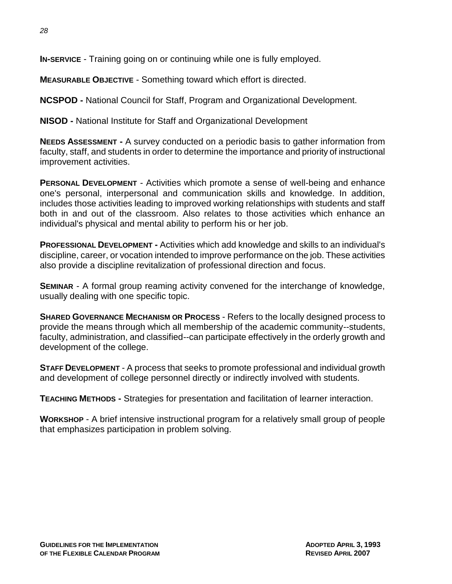**IN-SERVICE** - Training going on or continuing while one is fully employed.

**MEASURABLE OBJECTIVE** - Something toward which effort is directed.

**NCSPOD -** National Council for Staff, Program and Organizational Development.

**NISOD -** National Institute for Staff and Organizational Development

**NEEDS ASSESSMENT -** A survey conducted on a periodic basis to gather information from faculty, staff, and students in order to determine the importance and priority of instructional improvement activities.

**PERSONAL DEVELOPMENT** - Activities which promote a sense of well-being and enhance one's personal, interpersonal and communication skills and knowledge. In addition, includes those activities leading to improved working relationships with students and staff both in and out of the classroom. Also relates to those activities which enhance an individual's physical and mental ability to perform his or her job.

**PROFESSIONAL DEVELOPMENT -** Activities which add knowledge and skills to an individual's discipline, career, or vocation intended to improve performance on the job. These activities also provide a discipline revitalization of professional direction and focus.

**SEMINAR** - A formal group reaming activity convened for the interchange of knowledge, usually dealing with one specific topic.

**SHARED GOVERNANCE MECHANISM OR PROCESS** - Refers to the locally designed process to provide the means through which all membership of the academic community--students, faculty, administration, and classified--can participate effectively in the orderly growth and development of the college.

**STAFF DEVELOPMENT** - A process that seeks to promote professional and individual growth and development of college personnel directly or indirectly involved with students.

**TEACHING METHODS -** Strategies for presentation and facilitation of learner interaction.

**WORKSHOP** - A brief intensive instructional program for a relatively small group of people that emphasizes participation in problem solving.

*28*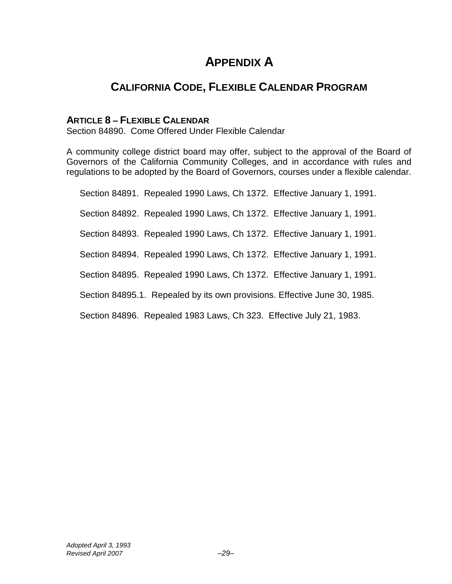# **APPENDIX A**

# **CALIFORNIA CODE, FLEXIBLE CALENDAR PROGRAM**

## **ARTICLE 8 – FLEXIBLE CALENDAR**

Section 84890. Come Offered Under Flexible Calendar

A community college district board may offer, subject to the approval of the Board of Governors of the California Community Colleges, and in accordance with rules and regulations to be adopted by the Board of Governors, courses under a flexible calendar.

Section 84891. Repealed 1990 Laws, Ch 1372. Effective January 1, 1991. Section 84892. Repealed 1990 Laws, Ch 1372. Effective January 1, 1991. Section 84893. Repealed 1990 Laws, Ch 1372. Effective January 1, 1991. Section 84894. Repealed 1990 Laws, Ch 1372. Effective January 1, 1991. Section 84895. Repealed 1990 Laws, Ch 1372. Effective January 1, 1991. Section 84895.1. Repealed by its own provisions. Effective June 30, 1985.

Section 84896. Repealed 1983 Laws, Ch 323. Effective July 21, 1983.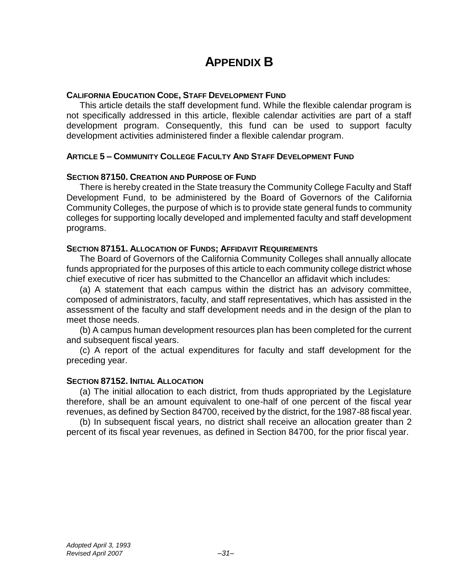# **APPENDIX B**

## **CALIFORNIA EDUCATION CODE, STAFF DEVELOPMENT FUND**

This article details the staff development fund. While the flexible calendar program is not specifically addressed in this article, flexible calendar activities are part of a staff development program. Consequently, this fund can be used to support faculty development activities administered finder a flexible calendar program.

## **ARTICLE 5 – COMMUNITY COLLEGE FACULTY AND STAFF DEVELOPMENT FUND**

### **SECTION 87150. CREATION AND PURPOSE OF FUND**

There is hereby created in the State treasury the Community College Faculty and Staff Development Fund, to be administered by the Board of Governors of the California Community Colleges, the purpose of which is to provide state general funds to community colleges for supporting locally developed and implemented faculty and staff development programs.

## **SECTION 87151. ALLOCATION OF FUNDS; AFFIDAVIT REQUIREMENTS**

The Board of Governors of the California Community Colleges shall annually allocate funds appropriated for the purposes of this article to each community college district whose chief executive of ricer has submitted to the Chancellor an affidavit which includes:

(a) A statement that each campus within the district has an advisory committee, composed of administrators, faculty, and staff representatives, which has assisted in the assessment of the faculty and staff development needs and in the design of the plan to meet those needs.

(b) A campus human development resources plan has been completed for the current and subsequent fiscal years.

(c) A report of the actual expenditures for faculty and staff development for the preceding year.

### **SECTION 87152. INITIAL ALLOCATION**

(a) The initial allocation to each district, from thuds appropriated by the Legislature therefore, shall be an amount equivalent to one-half of one percent of the fiscal year revenues, as defined by Section 84700, received by the district, for the 1987-88 fiscal year.

(b) In subsequent fiscal years, no district shall receive an allocation greater than 2 percent of its fiscal year revenues, as defined in Section 84700, for the prior fiscal year.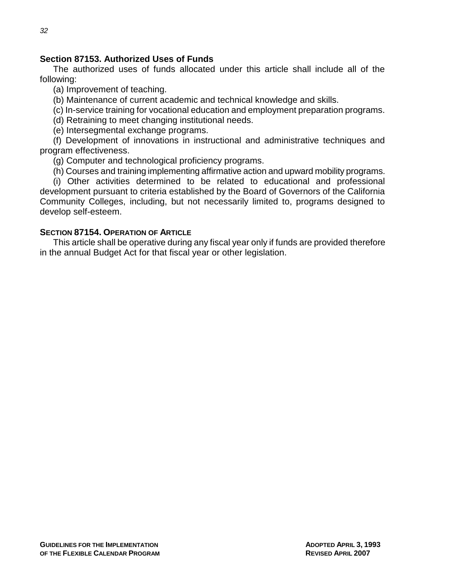## **Section 87153. Authorized Uses of Funds**

The authorized uses of funds allocated under this article shall include all of the following:

(a) Improvement of teaching.

(b) Maintenance of current academic and technical knowledge and skills.

(c) In-service training for vocational education and employment preparation programs.

(d) Retraining to meet changing institutional needs.

(e) Intersegmental exchange programs.

(f) Development of innovations in instructional and administrative techniques and program effectiveness.

(g) Computer and technological proficiency programs.

(h) Courses and training implementing affirmative action and upward mobility programs.

(i) Other activities determined to be related to educational and professional development pursuant to criteria established by the Board of Governors of the California Community Colleges, including, but not necessarily limited to, programs designed to develop self-esteem.

## **SECTION 87154. OPERATION OF ARTICLE**

This article shall be operative during any fiscal year only if funds are provided therefore in the annual Budget Act for that fiscal year or other legislation.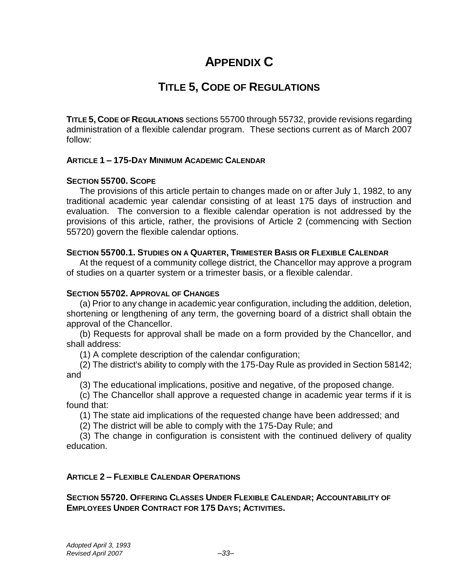# **APPENDIX C**

# **TITLE 5, CODE OF REGULATIONS**

**TITLE 5, CODE OF REGULATIONS** sections 55700 through 55732, provide revisions regarding administration of a flexible calendar program. These sections current as of March 2007 follow:

## **ARTICLE 1 – 175-DAY MINIMUM ACADEMIC CALENDAR**

## **SECTION 55700. SCOPE**

The provisions of this article pertain to changes made on or after July 1, 1982, to any traditional academic year calendar consisting of at least 175 days of instruction and evaluation. The conversion to a flexible calendar operation is not addressed by the provisions of this article, rather, the provisions of Article 2 (commencing with Section 55720) govern the flexible calendar options.

## **SECTION 55700.1. STUDIES ON A QUARTER, TRIMESTER BASIS OR FLEXIBLE CALENDAR**

At the request of a community college district, the Chancellor may approve a program of studies on a quarter system or a trimester basis, or a flexible calendar.

### **SECTION 55702. APPROVAL OF CHANGES**

(a) Prior to any change in academic year configuration, including the addition, deletion, shortening or lengthening of any term, the governing board of a district shall obtain the approval of the Chancellor.

(b) Requests for approval shall be made on a form provided by the Chancellor, and shall address:

(1) A complete description of the calendar configuration;

(2) The district's ability to comply with the 175-Day Rule as provided in Section 58142; and

(3) The educational implications, positive and negative, of the proposed change.

(c) The Chancellor shall approve a requested change in academic year terms if it is found that:

(1) The state aid implications of the requested change have been addressed; and

(2) The district will be able to comply with the 175-Day Rule; and

(3) The change in configuration is consistent with the continued delivery of quality education.

## **ARTICLE 2 – FLEXIBLE CALENDAR OPERATIONS**

**SECTION 55720. OFFERING CLASSES UNDER FLEXIBLE CALENDAR; ACCOUNTABILITY OF EMPLOYEES UNDER CONTRACT FOR 175 DAYS; ACTIVITIES.**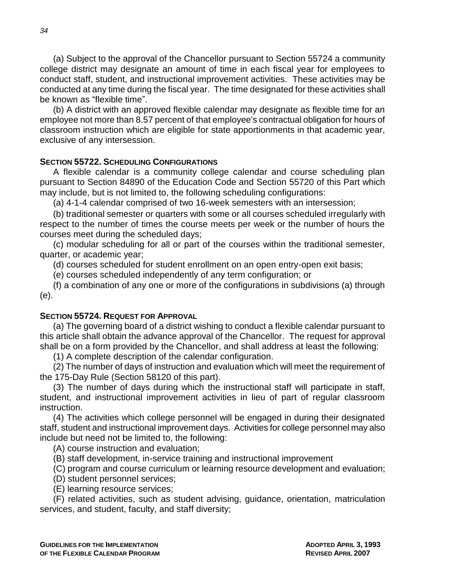(a) Subject to the approval of the Chancellor pursuant to Section 55724 a community college district may designate an amount of time in each fiscal year for employees to conduct staff, student, and instructional improvement activities. These activities may be conducted at any time during the fiscal year. The time designated for these activities shall be known as "flexible time".

(b) A district with an approved flexible calendar may designate as flexible time for an employee not more than 8.57 percent of that employee's contractual obligation for hours of classroom instruction which are eligible for state apportionments in that academic year, exclusive of any intersession.

## **SECTION 55722. SCHEDULING CONFIGURATIONS**

A flexible calendar is a community college calendar and course scheduling plan pursuant to Section 84890 of the Education Code and Section 55720 of this Part which may include, but is not limited to, the following scheduling configurations:

(a) 4-1-4 calendar comprised of two 16-week semesters with an intersession;

(b) traditional semester or quarters with some or all courses scheduled irregularly with respect to the number of times the course meets per week or the number of hours the courses meet during the scheduled days;

(c) modular scheduling for all or part of the courses within the traditional semester, quarter, or academic year;

(d) courses scheduled for student enrollment on an open entry-open exit basis;

(e) courses scheduled independently of any term configuration; or

(f) a combination of any one or more of the configurations in subdivisions (a) through (e).

### **SECTION 55724. REQUEST FOR APPROVAL**

(a) The governing board of a district wishing to conduct a flexible calendar pursuant to this article shall obtain the advance approval of the Chancellor. The request for approval shall be on a form provided by the Chancellor, and shall address at least the following:

(1) A complete description of the calendar configuration.

(2) The number of days of instruction and evaluation which will meet the requirement of the 175-Day Rule (Section 58120 of this part).

(3) The number of days during which the instructional staff will participate in staff, student, and instructional improvement activities in lieu of part of regular classroom instruction.

(4) The activities which college personnel will be engaged in during their designated staff, student and instructional improvement days. Activities for college personnel may also include but need not be limited to, the following:

(A) course instruction and evaluation;

(B) staff development, in-service training and instructional improvement

(C) program and course curriculum or learning resource development and evaluation;

- (D) student personnel services;
- (E) learning resource services;

(F) related activities, such as student advising, guidance, orientation, matriculation services, and student, faculty, and staff diversity;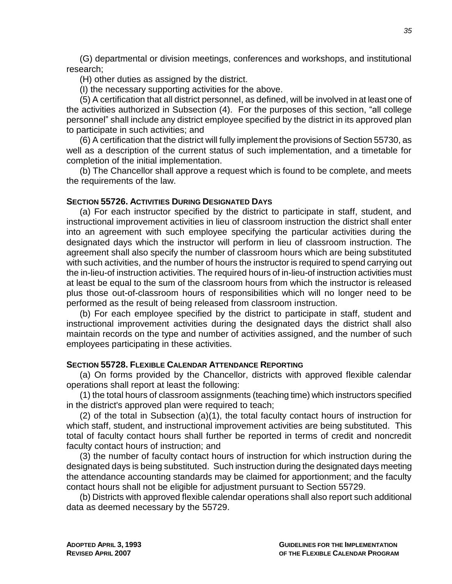(G) departmental or division meetings, conferences and workshops, and institutional research;

(H) other duties as assigned by the district.

(I) the necessary supporting activities for the above.

(5) A certification that all district personnel, as defined, will be involved in at least one of the activities authorized in Subsection (4). For the purposes of this section, "all college personnel" shall include any district employee specified by the district in its approved plan to participate in such activities; and

(6) A certification that the district will fully implement the provisions of Section 55730, as well as a description of the current status of such implementation, and a timetable for completion of the initial implementation.

(b) The Chancellor shall approve a request which is found to be complete, and meets the requirements of the law.

### **SECTION 55726. ACTIVITIES DURING DESIGNATED DAYS**

(a) For each instructor specified by the district to participate in staff, student, and instructional improvement activities in lieu of classroom instruction the district shall enter into an agreement with such employee specifying the particular activities during the designated days which the instructor will perform in lieu of classroom instruction. The agreement shall also specify the number of classroom hours which are being substituted with such activities, and the number of hours the instructor is required to spend carrying out the in-lieu-of instruction activities. The required hours of in-lieu-of instruction activities must at least be equal to the sum of the classroom hours from which the instructor is released plus those out-of-classroom hours of responsibilities which will no longer need to be performed as the result of being released from classroom instruction.

(b) For each employee specified by the district to participate in staff, student and instructional improvement activities during the designated days the district shall also maintain records on the type and number of activities assigned, and the number of such employees participating in these activities.

## **SECTION 55728. FLEXIBLE CALENDAR ATTENDANCE REPORTING**

(a) On forms provided by the Chancellor, districts with approved flexible calendar operations shall report at least the following:

(1) the total hours of classroom assignments (teaching time) which instructors specified in the district's approved plan were required to teach;

(2) of the total in Subsection (a)(1), the total faculty contact hours of instruction for which staff, student, and instructional improvement activities are being substituted. This total of faculty contact hours shall further be reported in terms of credit and noncredit faculty contact hours of instruction; and

(3) the number of faculty contact hours of instruction for which instruction during the designated days is being substituted. Such instruction during the designated days meeting the attendance accounting standards may be claimed for apportionment; and the faculty contact hours shall not be eligible for adjustment pursuant to Section 55729.

(b) Districts with approved flexible calendar operations shall also report such additional data as deemed necessary by the 55729.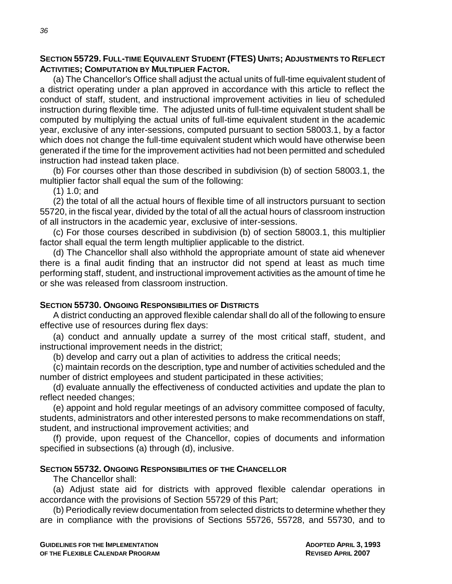### **SECTION 55729. FULL-TIME EQUIVALENT STUDENT (FTES) UNITS; ADJUSTMENTS TO REFLECT ACTIVITIES; COMPUTATION BY MULTIPLIER FACTOR.**

(a) The Chancellor's Office shall adjust the actual units of full-time equivalent student of a district operating under a plan approved in accordance with this article to reflect the conduct of staff, student, and instructional improvement activities in lieu of scheduled instruction during flexible time. The adjusted units of full-time equivalent student shall be computed by multiplying the actual units of full-time equivalent student in the academic year, exclusive of any inter-sessions, computed pursuant to section 58003.1, by a factor which does not change the full-time equivalent student which would have otherwise been generated if the time for the improvement activities had not been permitted and scheduled instruction had instead taken place.

(b) For courses other than those described in subdivision (b) of section 58003.1, the multiplier factor shall equal the sum of the following:

(1) 1.0; and

(2) the total of all the actual hours of flexible time of all instructors pursuant to section 55720, in the fiscal year, divided by the total of all the actual hours of classroom instruction of all instructors in the academic year, exclusive of inter-sessions.

(c) For those courses described in subdivision (b) of section 58003.1, this multiplier factor shall equal the term length multiplier applicable to the district.

(d) The Chancellor shall also withhold the appropriate amount of state aid whenever there is a final audit finding that an instructor did not spend at least as much time performing staff, student, and instructional improvement activities as the amount of time he or she was released from classroom instruction.

### **SECTION 55730. ONGOING RESPONSIBILITIES OF DISTRICTS**

A district conducting an approved flexible calendar shall do all of the following to ensure effective use of resources during flex days:

(a) conduct and annually update a surrey of the most critical staff, student, and instructional improvement needs in the district;

(b) develop and carry out a plan of activities to address the critical needs;

(c) maintain records on the description, type and number of activities scheduled and the number of district employees and student participated in these activities;

(d) evaluate annually the effectiveness of conducted activities and update the plan to reflect needed changes;

(e) appoint and hold regular meetings of an advisory committee composed of faculty, students, administrators and other interested persons to make recommendations on staff, student, and instructional improvement activities; and

(f) provide, upon request of the Chancellor, copies of documents and information specified in subsections (a) through (d), inclusive.

### **SECTION 55732. ONGOING RESPONSIBILITIES OF THE CHANCELLOR**

The Chancellor shall:

(a) Adjust state aid for districts with approved flexible calendar operations in accordance with the provisions of Section 55729 of this Part;

(b) Periodically review documentation from selected districts to determine whether they are in compliance with the provisions of Sections 55726, 55728, and 55730, and to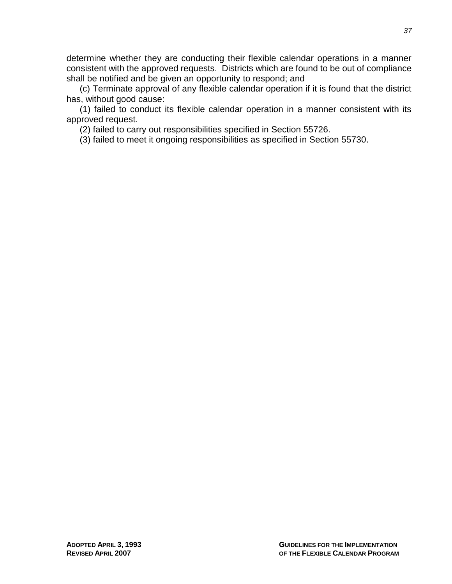determine whether they are conducting their flexible calendar operations in a manner consistent with the approved requests. Districts which are found to be out of compliance shall be notified and be given an opportunity to respond; and

(c) Terminate approval of any flexible calendar operation if it is found that the district has, without good cause:

(1) failed to conduct its flexible calendar operation in a manner consistent with its approved request.

(2) failed to carry out responsibilities specified in Section 55726.

(3) failed to meet it ongoing responsibilities as specified in Section 55730.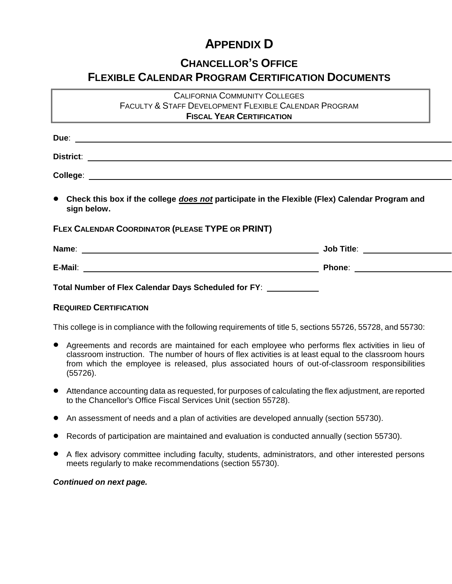# **APPENDIX D**

## **CHANCELLOR'S OFFICE**

## **FLEXIBLE CALENDAR PROGRAM CERTIFICATION DOCUMENTS**

## CALIFORNIA COMMUNITY COLLEGES FACULTY & STAFF DEVELOPMENT FLEXIBLE CALENDAR PROGRAM **FISCAL YEAR CERTIFICATION**

| • Check this box if the college <i>does not</i> participate in the Flexible (Flex) Calendar Program and<br>sign below. |  |
|------------------------------------------------------------------------------------------------------------------------|--|
| FLEX CALENDAR COORDINATOR (PLEASE TYPE OR PRINT)                                                                       |  |
|                                                                                                                        |  |
|                                                                                                                        |  |
| Total Number of Flex Calendar Days Scheduled for FY: \\end{math}                                                       |  |

### **REQUIRED CERTIFICATION**

This college is in compliance with the following requirements of title 5, sections 55726, 55728, and 55730:

- Agreements and records are maintained for each employee who performs flex activities in lieu of classroom instruction. The number of hours of flex activities is at least equal to the classroom hours from which the employee is released, plus associated hours of out-of-classroom responsibilities (55726).
- Attendance accounting data as requested, for purposes of calculating the flex adjustment, are reported to the Chancellor's Office Fiscal Services Unit (section 55728).
- An assessment of needs and a plan of activities are developed annually (section 55730).
- Records of participation are maintained and evaluation is conducted annually (section 55730).
- A flex advisory committee including faculty, students, administrators, and other interested persons meets regularly to make recommendations (section 55730).

### *Continued on next page.*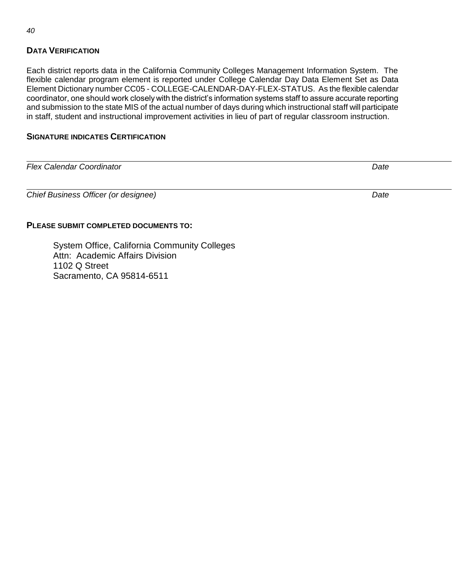## **DATA VERIFICATION**

Each district reports data in the California Community Colleges Management Information System. The flexible calendar program element is reported under College Calendar Day Data Element Set as Data Element Dictionary number CC05 - COLLEGE-CALENDAR-DAY-FLEX-STATUS. As the flexible calendar coordinator, one should work closely with the district's information systems staff to assure accurate reporting and submission to the state MIS of the actual number of days during which instructional staff will participate in staff, student and instructional improvement activities in lieu of part of regular classroom instruction.

## **SIGNATURE INDICATES CERTIFICATION**

| <b>Flex Calendar Coordinator</b>     | Date |  |
|--------------------------------------|------|--|
|                                      |      |  |
| Chief Business Officer (or designee) | Date |  |
|                                      |      |  |

### **PLEASE SUBMIT COMPLETED DOCUMENTS TO:**

System Office, California Community Colleges Attn: Academic Affairs Division 1102 Q Street Sacramento, CA 95814-6511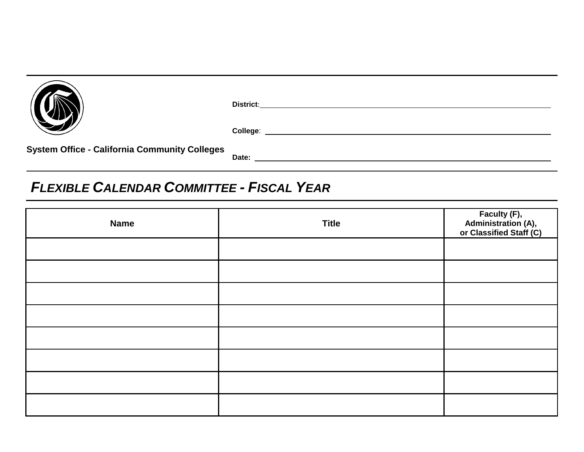|                                                      | <b>District:</b> |
|------------------------------------------------------|------------------|
|                                                      | College:         |
| <b>System Office - California Community Colleges</b> | Date:            |

# *FLEXIBLE CALENDAR COMMITTEE - FISCAL YEAR*

| <b>Name</b> | <b>Title</b> | Faculty (F),<br>Administration (A),<br>or Classified Staff (C) |
|-------------|--------------|----------------------------------------------------------------|
|             |              |                                                                |
|             |              |                                                                |
|             |              |                                                                |
|             |              |                                                                |
|             |              |                                                                |
|             |              |                                                                |
|             |              |                                                                |
|             |              |                                                                |